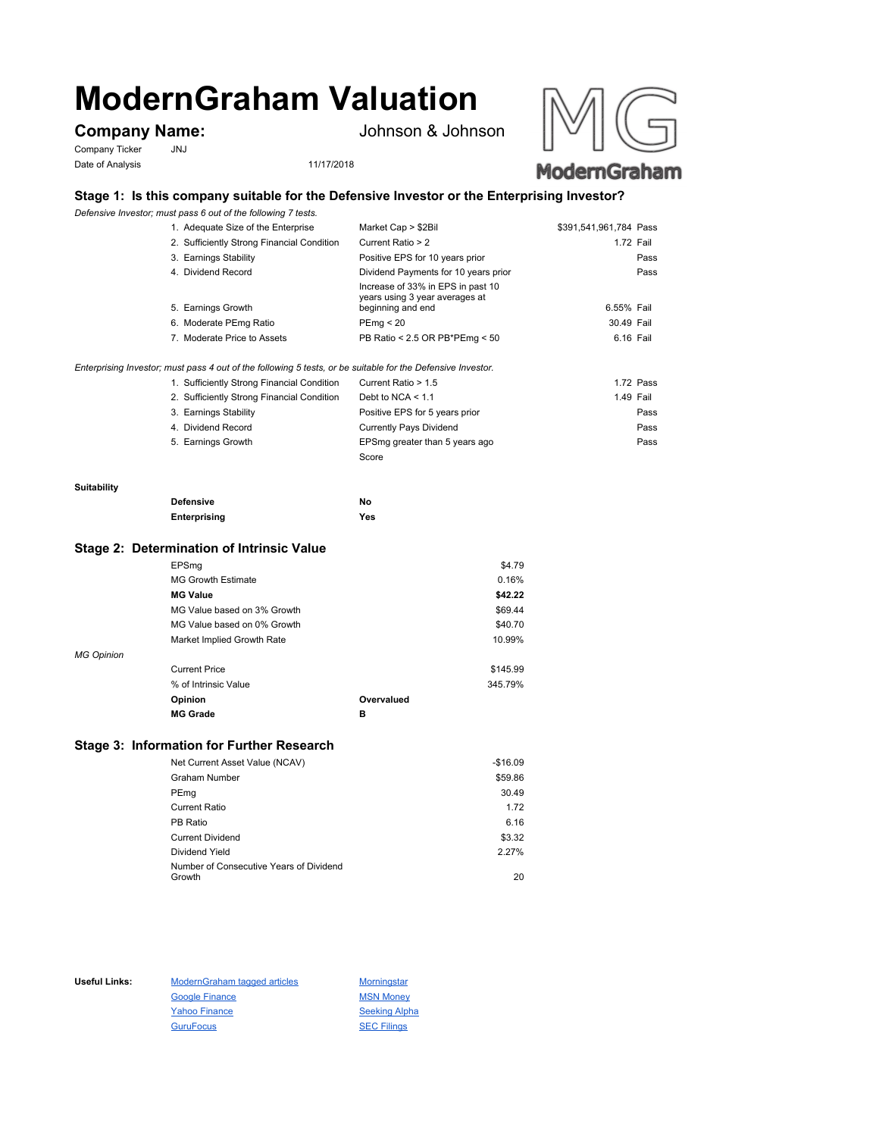# **ModernGraham Valuation**

Company Ticker JNJ Date of Analysis 11/17/2018

**Company Name:** Johnson & Johnson





# **Stage 1: Is this company suitable for the Defensive Investor or the Enterprising Investor?**

*Defensive Investor; must pass 6 out of the following 7 tests.*

| 1. Adequate Size of the Enterprise         | Market Cap > \$2Bil                                                                      | \$391,541,961,784 Pass |      |
|--------------------------------------------|------------------------------------------------------------------------------------------|------------------------|------|
| 2. Sufficiently Strong Financial Condition | Current Ratio > 2                                                                        | 1.72 Fail              |      |
| 3. Earnings Stability                      | Positive EPS for 10 years prior                                                          |                        | Pass |
| 4. Dividend Record                         | Dividend Payments for 10 years prior                                                     |                        | Pass |
| 5. Earnings Growth                         | Increase of 33% in EPS in past 10<br>years using 3 year averages at<br>beginning and end | 6.55% Fail             |      |
| 6. Moderate PEmg Ratio                     | PEmg < 20                                                                                | 30.49 Fail             |      |
| 7. Moderate Price to Assets                | PB Ratio < 2.5 OR PB*PEmg < 50                                                           | 6.16 Fail              |      |
|                                            |                                                                                          |                        |      |

### *Enterprising Investor; must pass 4 out of the following 5 tests, or be suitable for the Defensive Investor.*

| 1. Sufficiently Strong Financial Condition | Current Ratio > 1.5            | 1.72 Pass |
|--------------------------------------------|--------------------------------|-----------|
| 2. Sufficiently Strong Financial Condition | Debt to NCA $<$ 1.1            | 1.49 Fail |
| 3. Earnings Stability                      | Positive EPS for 5 years prior | Pass      |
| 4. Dividend Record                         | <b>Currently Pays Dividend</b> | Pass      |
| 5. Earnings Growth                         | EPSmg greater than 5 years ago | Pass      |
|                                            | Score                          |           |

#### **Suitability**

| <b>Defensive</b> | No  |
|------------------|-----|
| Enterprising     | Yes |

## **Stage 2: Determination of Intrinsic Value**

|                   | Opinion                     | Overvalued |          |
|-------------------|-----------------------------|------------|----------|
|                   | % of Intrinsic Value        |            | 345.79%  |
|                   | <b>Current Price</b>        |            | \$145.99 |
| <b>MG Opinion</b> |                             |            |          |
|                   | Market Implied Growth Rate  |            | 10.99%   |
|                   | MG Value based on 0% Growth |            | \$40.70  |
|                   | MG Value based on 3% Growth |            | \$69.44  |
|                   | <b>MG Value</b>             |            | \$42.22  |
|                   | <b>MG Growth Estimate</b>   |            | 0.16%    |
|                   | EPSmg                       |            | \$4.79   |

# **Stage 3: Information for Further Research**

| Net Current Asset Value (NCAV)          | $-$16.09$ |
|-----------------------------------------|-----------|
| Graham Number                           | \$59.86   |
| PEmg                                    | 30.49     |
| Current Ratio                           | 1.72      |
| PB Ratio                                | 6.16      |
| <b>Current Dividend</b>                 | \$3.32    |
| Dividend Yield                          | 2.27%     |
| Number of Consecutive Years of Dividend |           |
| Growth                                  | 20        |

Useful Links: ModernGraham tagged articles Morningstar Google Finance MSN Money Yahoo Finance Seeking Alpha GuruFocus SEC Filings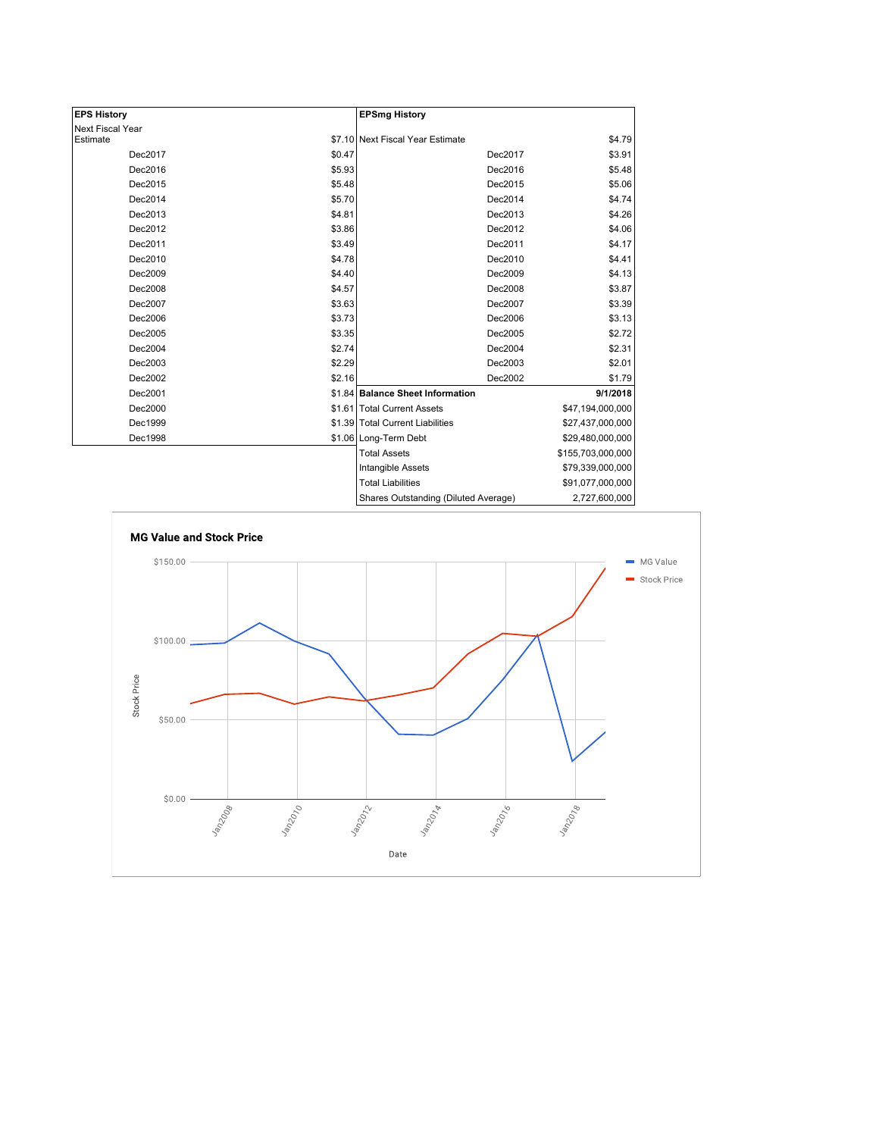| <b>EPS History</b> |        | <b>EPSmg History</b>                 |                   |
|--------------------|--------|--------------------------------------|-------------------|
| Next Fiscal Year   |        |                                      |                   |
| Estimate           |        | \$7.10 Next Fiscal Year Estimate     | \$4.79            |
| Dec2017            | \$0.47 | Dec2017                              | \$3.91            |
| Dec2016            | \$5.93 | Dec2016                              | \$5.48            |
| Dec2015            | \$5.48 | Dec2015                              | \$5.06            |
| Dec2014            | \$5.70 | Dec2014                              | \$4.74            |
| Dec2013            | \$4.81 | Dec2013                              | \$4.26            |
| Dec2012            | \$3.86 | Dec2012                              | \$4.06            |
| Dec2011            | \$3.49 | Dec2011                              | \$4.17            |
| Dec2010            | \$4.78 | Dec2010                              | \$4.41            |
| Dec2009            | \$4.40 | Dec2009                              | \$4.13            |
| Dec2008            | \$4.57 | Dec2008                              | \$3.87            |
| Dec2007            | \$3.63 | Dec2007                              | \$3.39            |
| Dec2006            | \$3.73 | Dec2006                              | \$3.13            |
| Dec2005            | \$3.35 | Dec2005                              | \$2.72            |
| Dec2004            | \$2.74 | Dec2004                              | \$2.31            |
| Dec2003            | \$2.29 | Dec2003                              | \$2.01            |
| Dec2002            | \$2.16 | Dec2002                              | \$1.79            |
| Dec2001            |        | \$1.84 Balance Sheet Information     | 9/1/2018          |
| Dec2000            |        | \$1.61   Total Current Assets        | \$47,194,000,000  |
| Dec1999            |        | \$1.39 Total Current Liabilities     | \$27,437,000,000  |
| Dec1998            |        | \$1.06 Long-Term Debt                | \$29,480,000,000  |
|                    |        | <b>Total Assets</b>                  | \$155,703,000,000 |
|                    |        | Intangible Assets                    | \$79,339,000,000  |
|                    |        | <b>Total Liabilities</b>             | \$91,077,000,000  |
|                    |        | Shares Outstanding (Diluted Average) | 2,727,600,000     |